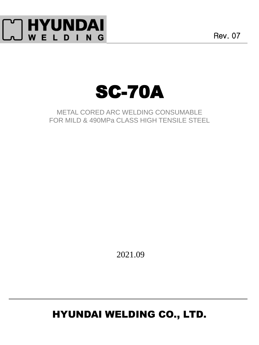

Rev. 07



METAL CORED ARC WELDING CONSUMABLE FOR MILD & 490MPa CLASS HIGH TENSILE STEEL

2021.09

# HYUNDAI WELDING CO., LTD.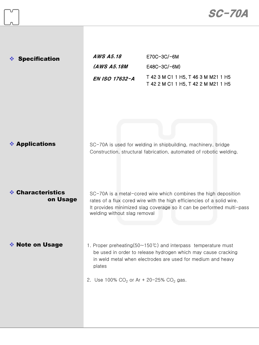| <b>Specification</b><br>∙⊱    | <b>AWS A5.18</b><br>(AWS A5.18M<br>EN ISO 17632-A       | E70C-3C/-6M<br>E48C-3C/-6M)<br>T 42 3 M C1 1 H5, T 46 3 M M21 1 H5<br>T 42 2 M C1 1 H5, T 42 2 M M21 1 H5                                                                                                          |
|-------------------------------|---------------------------------------------------------|--------------------------------------------------------------------------------------------------------------------------------------------------------------------------------------------------------------------|
| ❖ Applications                |                                                         | SC-70A is used for welding in shipbuilding, machinery, bridge<br>Construction, structural fabrication, automated of robotic welding.                                                                               |
| ❖ Characteristics<br>on Usage | welding without slag removal                            | SC-70A is a metal-cored wire which combines the high deposition<br>rates of a flux cored wire with the high efficiencies of a solid wire.<br>It provides minimized slag coverage so it can be performed multi-pass |
| ❖ Note on Usage               | plates<br>2. Use 100% $CO_2$ or Ar + 20-25% $CO_2$ gas. | 1. Proper preheating $(50~150^{\circ}\text{C})$ and interpass temperature must<br>be used in order to release hydrogen which may cause cracking<br>in weld metal when electrodes are used for medium and heavy     |

 $\int_{-\infty}^{\infty}$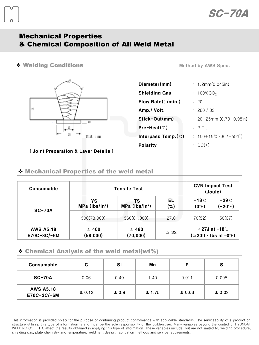### Mechanical Properties & Chemical Composition of All Weld Metal

#### \* Welding Conditions

 $20\,$  $13$ 25 Unit : mm

[ Joint Preparation & Layer Details ]

|  | <b>Method by AWS Spec.</b> |  |
|--|----------------------------|--|
|--|----------------------------|--|

| Diameter(mm)                    | : $1.2mm(0.045in)$                     |
|---------------------------------|----------------------------------------|
| <b>Shielding Gas</b>            | : $100\%$ CO <sub>2</sub>              |
| Flow Rate $(\ell$ /min.)        | : 20                                   |
| Amp./ Volt.                     | : 280 / 32                             |
| Stick-Out(mm)                   | $: 20 \sim 25$ mm (0.79 $\sim$ 0.98in) |
| $Pre-Heat$ ( $\degree$ )        | : R.T.                                 |
| Interpass Temp. $(\mathcal{C})$ | : 150±15℃ (302±59°F)                   |
| <b>Polarity</b>                 | : $DC(+)$                              |

#### Mechanical Properties of the weld metal

| Consumable                      |                                  | <b>Tensile Test</b>              | <b>CVN Impact Test</b><br>(Joule) |                                   |                                                         |
|---------------------------------|----------------------------------|----------------------------------|-----------------------------------|-----------------------------------|---------------------------------------------------------|
| $SC-70A$                        | YS<br>MPa (lbs/in <sup>2</sup> ) | тs<br>MPa (lbs/in <sup>2</sup> ) | EL<br>(%)                         | $-18^{\circ}$ C<br>$(0^{\circ}F)$ | -29℃<br>$(-20)$ F)                                      |
|                                 | 500(73.000)                      | 560(81,000)                      | 27.0                              | 70(52)                            | 50(37)                                                  |
| <b>AWS A5.18</b><br>E70C-3C/-6M | $\geq 400$<br>(58,000)           | $\geq 480$<br>(70,000)           | $\geq 22$                         |                                   | $≥$ 27J at –18 $°C$<br>$( \geq 20$ ft · Ibs at $-0$ °F) |

#### $\div$  Chemical Analysis of the weld metal(wt%)

| Consumable                      | C           | Si         | Mn          | D           | S           |
|---------------------------------|-------------|------------|-------------|-------------|-------------|
| <b>SC-70A</b>                   | 0.06        | 0.40       | 1.40        | 0.011       | 0.008       |
| <b>AWS A5.18</b><br>E70C-3C/-6M | $\leq 0.12$ | $\leq 0.9$ | $\leq 1.75$ | $\leq 0.03$ | $\leq 0.03$ |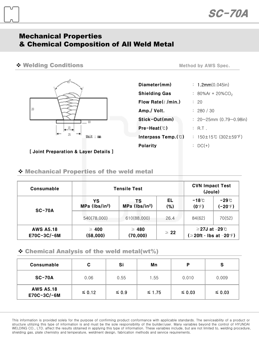### Mechanical Properties & Chemical Composition of All Weld Metal

#### ◆ Welding Conditions and the Method by AWS Spec.

 $20\,$ 13 25 Unit : mm

[ Joint Preparation & Layer Details ]

| Diameter(mm)                    | : $1.2mm(0.045in)$                     |
|---------------------------------|----------------------------------------|
| <b>Shielding Gas</b>            | : 80%Ar + 20%CO <sub>2</sub>           |
| Flow Rate $(\ell/m$ in.)        | : 20                                   |
| Amp./ Volt.                     | : 280 / 30                             |
| Stick-Out(mm)                   | $: 20 \sim 25$ mm (0.79 $\sim$ 0.98in) |
| $Pre-Heat(^\circledcirc)$       | : R.T.                                 |
| Interpass Temp. $(\mathcal{C})$ | : 150±15℃ (302±59°F)                   |
| <b>Polarity</b>                 | : $DC(+)$                              |

#### Mechanical Properties of the weld metal

| Consumable                      |                                  | <b>Tensile Test</b>              | <b>CVN Impact Test</b><br>(Joule) |                                                       |                           |
|---------------------------------|----------------------------------|----------------------------------|-----------------------------------|-------------------------------------------------------|---------------------------|
| $SC-70A$                        | YS<br>MPa (lbs/in <sup>2</sup> ) | тs<br>MPa (lbs/in <sup>2</sup> ) | EL<br>(%)                         | $-18^{\circ}$ C<br>$(0^{\circ}F)$                     | $-29^\circ$<br>$(-20)$ F) |
|                                 | 540(78,000)                      | 610(88,000)                      | 26.4                              | 84(62)                                                | 70(52)                    |
| <b>AWS A5.18</b><br>E70C-3C/-6M | $\geq 400$<br>(58,000)           | $\geq 480$<br>(70,000)           | $\geq 22$                         | $≥$ 27J at –29 $°C$<br>$( \geq 20$ ft · Ibs at -20°F) |                           |

#### $\div$  Chemical Analysis of the weld metal(wt%)

| Consumable                      | С           | Si         | Mn          | P           | S           |
|---------------------------------|-------------|------------|-------------|-------------|-------------|
| $SC-70A$                        | 0.06        | 0.55       | 1.55        | 0.010       | 0.009       |
| <b>AWS A5.18</b><br>E70C-3C/-6M | $\leq 0.12$ | $\leq 0.9$ | $\leq 1.75$ | $\leq 0.03$ | $\leq 0.03$ |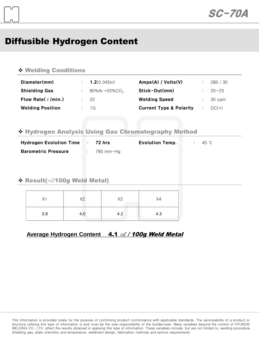## Diffusible Hydrogen Content

#### Welding Conditions

| Diameter(mm)             | : 1.2(0.045)              | Amps(A) / Volts(V)                 | 280 / 30  |
|--------------------------|---------------------------|------------------------------------|-----------|
| <b>Shielding Gas</b>     | 80%Ar +20%CO <sub>2</sub> | Stick-Out(mm)                      | $20 - 25$ |
| Flow Rate( $\ell$ /min.) | - 20                      | <b>Welding Speed</b>               | 30 cpm    |
| <b>Welding Position</b>  | $\frac{1}{1}$ 1G          | <b>Current Type &amp; Polarity</b> | $DC(+)$   |

#### Hydrogen Analysis Using Gas Chromatography Method

| <b>Hydrogen Evolution Time</b> | 72 hrs    | <b>Evolution Temp.</b> | 45 °C |
|--------------------------------|-----------|------------------------|-------|
| <b>Barometric Pressure</b>     | 780 mm-Ha |                        |       |

#### Result(㎖/100g Weld Metal)

| X1  | X2  | X3  | X4  |
|-----|-----|-----|-----|
| 3.8 | 4.0 | 4.2 | 4.3 |

#### **Average Hydrogen Content** 4.1 ㎖ / 100g Weld Metal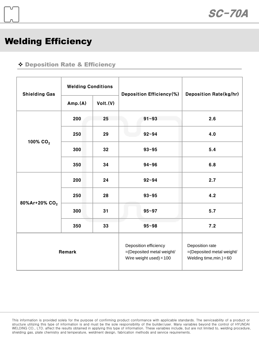### Welding Efficiency

#### Deposition Rate & Efficiency

| <b>Shielding Gas</b>      | <b>Welding Conditions</b> |                                                                                      | Deposition Efficiency(%)                                                        | <b>Deposition Rate(kg/hr)</b> |  |
|---------------------------|---------------------------|--------------------------------------------------------------------------------------|---------------------------------------------------------------------------------|-------------------------------|--|
|                           | Amp.(A)                   | Volt.(V)                                                                             |                                                                                 |                               |  |
|                           | 200                       | 25                                                                                   | $91 - 93$                                                                       | 2.6                           |  |
| 100% CO <sub>2</sub>      | 250                       | 29                                                                                   | $92 - 94$                                                                       | 4.0                           |  |
|                           | 300                       | 32                                                                                   | $93 - 95$                                                                       | 5.4                           |  |
|                           | 350                       | 34                                                                                   | $94 - 96$                                                                       | 6.8                           |  |
|                           | 200                       | 24                                                                                   | $92 - 94$                                                                       | 2.7                           |  |
| 80%Ar+20% CO <sub>2</sub> | 250                       | 28                                                                                   | $93 - 95$                                                                       | 4.2                           |  |
|                           | 300                       | 31                                                                                   | $95 - 97$                                                                       | 5.7                           |  |
|                           | 350                       | 33                                                                                   | $95 - 98$                                                                       | 7.2                           |  |
| Remark                    |                           | Deposition efficiency<br>=(Deposited metal weight/<br>Wire weight used) $\times$ 100 | Deposition rate<br>=(Deposited metal weight/<br>Welding time, min.) $\times$ 60 |                               |  |

This information is provided solely for the purpose of confirming product conformance with applicable standards. The serviceability of a product or structure utilizing this type of information is and must be the sole responsibility of the builder/user. Many variables beyond the control of HYUNDAI WELDING CO., LTD. affect the results obtained in applying this type of information. These variables include, but are not limited to, welding procedure, shielding gas, plate chemistry and temperature, weldment design, fabrication methods and service requirements.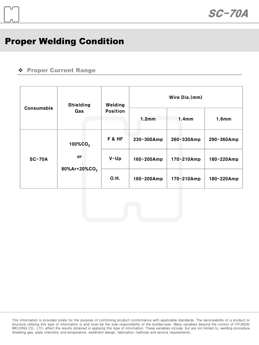## Proper Welding Condition

#### Proper Current Range

|            | <b>Shielding</b><br>Gas                               | Welding<br><b>Position</b> | Wire Dia.(mm) |                   |                   |  |
|------------|-------------------------------------------------------|----------------------------|---------------|-------------------|-------------------|--|
| Consumable |                                                       |                            | 1.2mm         | 1.4 <sub>mm</sub> | 1.6 <sub>mm</sub> |  |
| $SC-70A$   | 100%CO <sub>2</sub><br>or<br>80%Ar+20%CO <sub>2</sub> | F&HF                       | 230~300Amp    | 260~330Amp        | 290~360Amp        |  |
|            |                                                       | $V-Up$                     | 160~200Amp    | 170~210Amp        | 180~220Amp        |  |
|            |                                                       | <b>O.H.</b>                | 160~200Amp    | 170~210Amp        | 180~220Amp        |  |